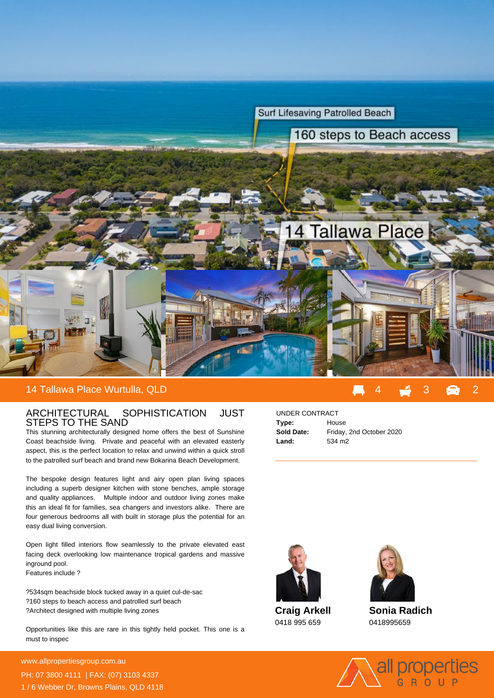

## ARCHITECTURAL SOPHISTICATION JUST STEPS TO THE SAND

This stunning architecturally designed home offers the best of Sunshine Coast beachside living. Private and peaceful with an elevated easterly aspect, this is the perfect location to relax and unwind within a quick stroll to the patrolled surf beach and brand new Bokarina Beach Development.

The bespoke design features light and airy open plan living spaces including a superb designer kitchen with stone benches, ample storage and quality appliances. Multiple indoor and outdoor living zones make this an ideal fit for families, sea changers and investors alike. There are four generous bedrooms all with built in storage plus the potential for an easy dual living conversion.

Open light filled interiors flow seamlessly to the private elevated east facing deck overlooking low maintenance tropical gardens and massive inground pool.

Features include ?

- ? 534sqm beachside block tucked away in a quiet cul-de-sac
- ? 160 steps to beach access and patrolled surf beach
- ? Architect designed with multiple living zones

Opportunities like this are rare in this tightly held pocket. This one is a must to inspec

**For more details please visit** www.allpropertiesgroup.com.au/<br>State of the state of the state of the state of the state of the state of the state of the state of the state o PH: 07 3800 4111 | FAX: (07) 3103 4337 1 / 6 Webber Dr, Browns Plains, QLD 4118

## UNDER CONTRACT

| Type:      | House                    |
|------------|--------------------------|
| Sold Date: | Friday, 2nd October 2020 |
| Land:      | 534 m <sub>2</sub>       |



**Craig Arkell** 0418 995 659



**Sonia Radich** 0418995659